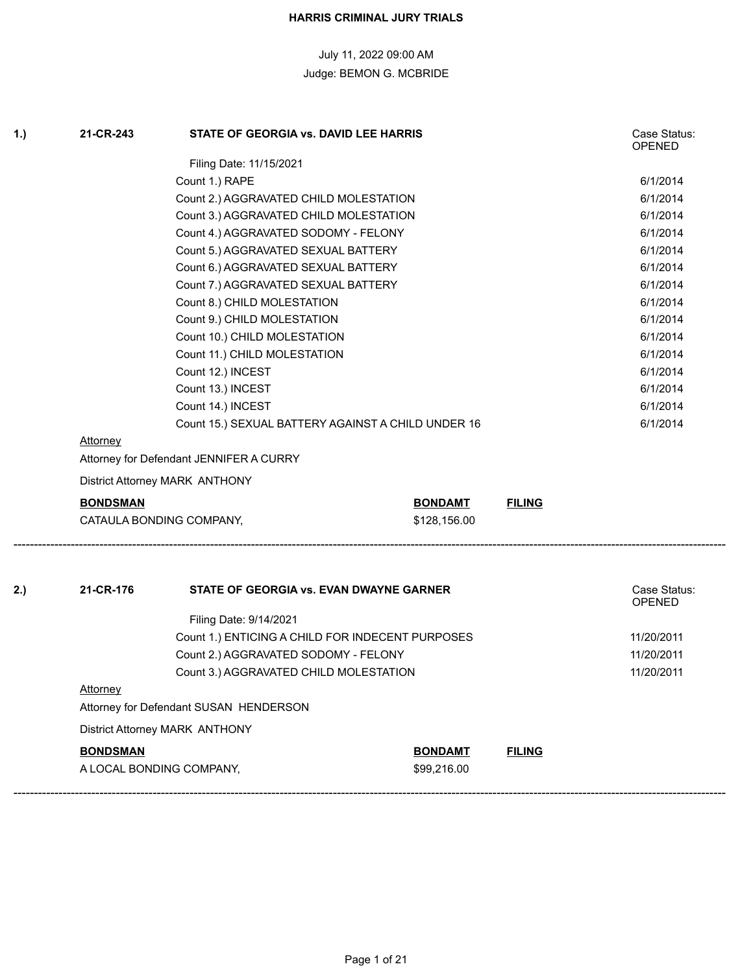| 1.) | 21-CR-243       | STATE OF GEORGIA vs. DAVID LEE HARRIS              |                |               | Case Status:<br><b>OPENED</b> |
|-----|-----------------|----------------------------------------------------|----------------|---------------|-------------------------------|
|     |                 | Filing Date: 11/15/2021                            |                |               |                               |
|     |                 | Count 1.) RAPE                                     |                |               | 6/1/2014                      |
|     |                 | Count 2.) AGGRAVATED CHILD MOLESTATION             |                |               | 6/1/2014                      |
|     |                 | Count 3.) AGGRAVATED CHILD MOLESTATION             |                |               | 6/1/2014                      |
|     |                 | Count 4.) AGGRAVATED SODOMY - FELONY               |                |               | 6/1/2014                      |
|     |                 | Count 5.) AGGRAVATED SEXUAL BATTERY                |                |               | 6/1/2014                      |
|     |                 | Count 6.) AGGRAVATED SEXUAL BATTERY                |                |               | 6/1/2014                      |
|     |                 | Count 7.) AGGRAVATED SEXUAL BATTERY                |                |               | 6/1/2014                      |
|     |                 | Count 8.) CHILD MOLESTATION                        |                |               | 6/1/2014                      |
|     |                 | Count 9.) CHILD MOLESTATION                        |                |               | 6/1/2014                      |
|     |                 | Count 10.) CHILD MOLESTATION                       |                |               | 6/1/2014                      |
|     |                 | Count 11.) CHILD MOLESTATION                       |                |               | 6/1/2014                      |
|     |                 | Count 12.) INCEST                                  |                |               | 6/1/2014                      |
|     |                 | Count 13.) INCEST                                  |                |               | 6/1/2014                      |
|     |                 | Count 14.) INCEST                                  |                |               | 6/1/2014                      |
|     |                 | Count 15.) SEXUAL BATTERY AGAINST A CHILD UNDER 16 |                |               | 6/1/2014                      |
|     | <u>Attorney</u> |                                                    |                |               |                               |
|     |                 | Attorney for Defendant JENNIFER A CURRY            |                |               |                               |
|     |                 | District Attorney MARK ANTHONY                     |                |               |                               |
|     | <u>BONDSMAN</u> |                                                    | <b>BONDAMT</b> | <b>FILING</b> |                               |
|     |                 | CATAULA BONDING COMPANY,                           | \$128,156.00   |               |                               |
|     |                 |                                                    |                |               |                               |
| 2.) | 21-CR-176       | STATE OF GEORGIA vs. EVAN DWAYNE GARNER            |                |               | Case Status:<br><b>OPENED</b> |
|     |                 | Filing Date: 9/14/2021                             |                |               |                               |
|     |                 | Count 1.) ENTICING A CHILD FOR INDECENT PURPOSES   |                |               | 11/20/2011                    |
|     |                 | Count 2.) AGGRAVATED SODOMY - FELONY               |                |               | 11/20/2011                    |
|     |                 | Count 3.) AGGRAVATED CHILD MOLESTATION             |                |               | 11/20/2011                    |
|     | <u>Attorney</u> |                                                    |                |               |                               |
|     |                 | Attorney for Defendant SUSAN HENDERSON             |                |               |                               |
|     |                 | District Attorney MARK ANTHONY                     |                |               |                               |
|     | <b>BONDSMAN</b> |                                                    | <b>BONDAMT</b> | <b>FILING</b> |                               |

A LOCAL BONDING COMPANY, \$99,216.00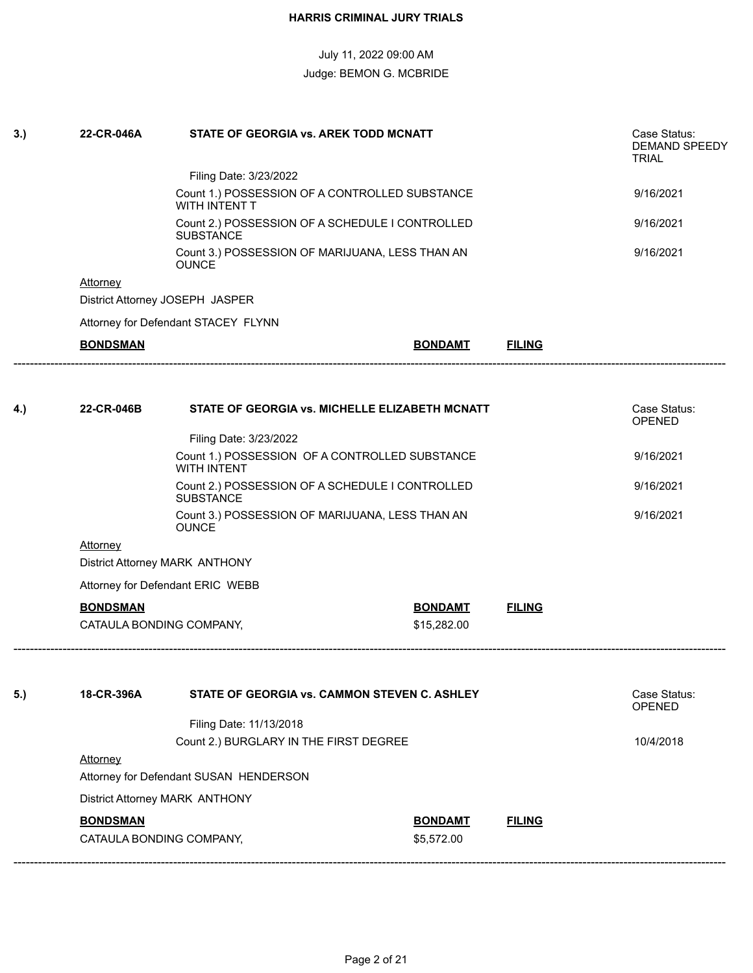| 3.) | 22-CR-046A      | <b>STATE OF GEORGIA vs. AREK TODD MCNATT</b>                        |                |               | Case Status:<br>DEMAND SPEEDY<br><b>TRIAL</b> |
|-----|-----------------|---------------------------------------------------------------------|----------------|---------------|-----------------------------------------------|
|     |                 | Filing Date: 3/23/2022                                              |                |               |                                               |
|     |                 | Count 1.) POSSESSION OF A CONTROLLED SUBSTANCE<br>WITH INTENT T     |                |               | 9/16/2021                                     |
|     |                 | Count 2.) POSSESSION OF A SCHEDULE I CONTROLLED<br><b>SUBSTANCE</b> |                |               | 9/16/2021                                     |
|     |                 | Count 3.) POSSESSION OF MARIJUANA, LESS THAN AN<br><b>OUNCE</b>     |                |               | 9/16/2021                                     |
|     | Attorney        |                                                                     |                |               |                                               |
|     |                 | District Attorney JOSEPH JASPER                                     |                |               |                                               |
|     |                 | Attorney for Defendant STACEY FLYNN                                 |                |               |                                               |
|     | <b>BONDSMAN</b> |                                                                     | <b>BONDAMT</b> | <b>FILING</b> |                                               |
|     |                 |                                                                     |                |               |                                               |
| 4.) | 22-CR-046B      | STATE OF GEORGIA vs. MICHELLE ELIZABETH MCNATT                      |                |               | Case Status:<br><b>OPENED</b>                 |
|     |                 | Filing Date: 3/23/2022                                              |                |               |                                               |
|     |                 | 9/16/2021                                                           |                |               |                                               |
|     |                 | Count 2.) POSSESSION OF A SCHEDULE I CONTROLLED<br><b>SUBSTANCE</b> |                |               |                                               |
|     |                 | Count 3.) POSSESSION OF MARIJUANA, LESS THAN AN<br><b>OUNCE</b>     |                |               |                                               |
|     | Attorney        |                                                                     |                |               |                                               |
|     |                 | District Attorney MARK ANTHONY                                      |                |               |                                               |
|     |                 | Attorney for Defendant ERIC WEBB                                    |                |               |                                               |
|     | <b>BONDSMAN</b> |                                                                     | <b>BONDAMT</b> | <b>FILING</b> |                                               |
|     |                 | CATAULA BONDING COMPANY,                                            | \$15,282.00    |               |                                               |
| 5.) | 18-CR-396A      | STATE OF GEORGIA vs. CAMMON STEVEN C. ASHLEY                        |                |               | Case Status:                                  |
|     |                 |                                                                     |                |               | <b>OPENED</b>                                 |
|     |                 | Filing Date: 11/13/2018                                             |                |               |                                               |
|     | Attorney        | Count 2.) BURGLARY IN THE FIRST DEGREE                              |                |               | 10/4/2018                                     |
|     |                 | Attorney for Defendant SUSAN HENDERSON                              |                |               |                                               |
|     |                 | District Attorney MARK ANTHONY                                      |                |               |                                               |
|     | <b>BONDSMAN</b> |                                                                     | <b>BONDAMT</b> | <b>FILING</b> |                                               |
|     |                 | CATAULA BONDING COMPANY,                                            | \$5,572.00     |               |                                               |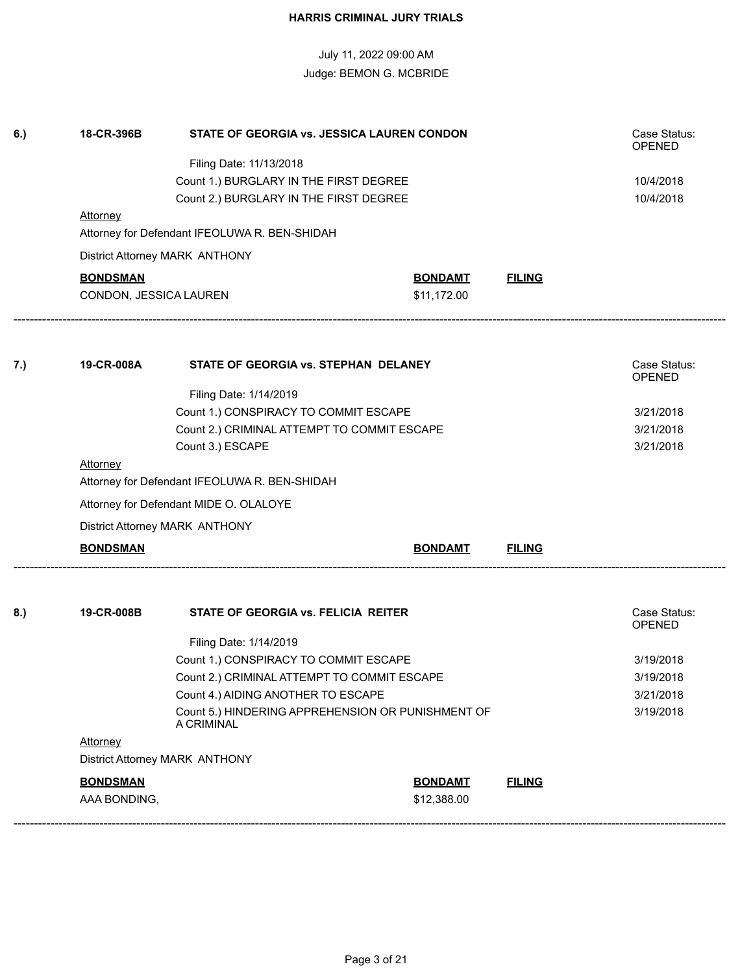| 6.) | 18-CR-396B<br><b>STATE OF GEORGIA VS. JESSICA LAUREN CONDON</b> |                                                                                  |                |               | Case Status:<br><b>OPENED</b> |  |
|-----|-----------------------------------------------------------------|----------------------------------------------------------------------------------|----------------|---------------|-------------------------------|--|
|     |                                                                 | Filing Date: 11/13/2018                                                          |                |               |                               |  |
|     |                                                                 | 10/4/2018                                                                        |                |               |                               |  |
|     |                                                                 | Count 1.) BURGLARY IN THE FIRST DEGREE<br>Count 2.) BURGLARY IN THE FIRST DEGREE |                |               | 10/4/2018                     |  |
|     | <b>Attorney</b>                                                 |                                                                                  |                |               |                               |  |
|     |                                                                 | Attorney for Defendant IFEOLUWA R. BEN-SHIDAH                                    |                |               |                               |  |
|     |                                                                 | District Attorney MARK ANTHONY                                                   |                |               |                               |  |
|     | <b>BONDSMAN</b>                                                 |                                                                                  | <b>BONDAMT</b> | <b>FILING</b> |                               |  |
|     | CONDON, JESSICA LAUREN                                          |                                                                                  | \$11,172.00    |               |                               |  |
|     |                                                                 |                                                                                  |                |               |                               |  |
| 7.) | 19-CR-008A                                                      | STATE OF GEORGIA vs. STEPHAN DELANEY                                             |                |               | Case Status:<br><b>OPENED</b> |  |
|     |                                                                 | Filing Date: 1/14/2019                                                           |                |               |                               |  |
|     |                                                                 | Count 1.) CONSPIRACY TO COMMIT ESCAPE                                            |                |               | 3/21/2018                     |  |
|     | Count 2.) CRIMINAL ATTEMPT TO COMMIT ESCAPE<br>Count 3.) ESCAPE |                                                                                  |                |               | 3/21/2018                     |  |
|     |                                                                 |                                                                                  | 3/21/2018      |               |                               |  |
|     | <b>Attorney</b>                                                 |                                                                                  |                |               |                               |  |
|     | Attorney for Defendant IFEOLUWA R. BEN-SHIDAH                   |                                                                                  |                |               |                               |  |
|     | Attorney for Defendant MIDE O. OLALOYE                          |                                                                                  |                |               |                               |  |
|     |                                                                 | District Attorney MARK ANTHONY                                                   |                |               |                               |  |
|     | <b>BONDSMAN</b>                                                 |                                                                                  | <b>BONDAMT</b> | <b>FILING</b> |                               |  |
|     | 19-CR-008B                                                      | STATE OF GEORGIA vs. FELICIA REITER                                              |                |               | Case Status:                  |  |
| 8.) |                                                                 |                                                                                  |                |               | <b>OPENED</b>                 |  |
|     |                                                                 | Filing Date: 1/14/2019                                                           |                |               |                               |  |
|     |                                                                 | Count 1.) CONSPIRACY TO COMMIT ESCAPE                                            |                |               | 3/19/2018                     |  |
|     |                                                                 | Count 2.) CRIMINAL ATTEMPT TO COMMIT ESCAPE                                      |                |               | 3/19/2018                     |  |
|     |                                                                 | Count 4.) AIDING ANOTHER TO ESCAPE                                               |                |               | 3/21/2018                     |  |
|     |                                                                 | Count 5.) HINDERING APPREHENSION OR PUNISHMENT OF                                | 3/19/2018      |               |                               |  |
|     | Attorney                                                        |                                                                                  |                |               |                               |  |
|     |                                                                 | District Attorney MARK ANTHONY                                                   |                |               |                               |  |
|     | <b>BONDSMAN</b>                                                 |                                                                                  | <b>BONDAMT</b> | <b>FILING</b> |                               |  |
|     | AAA BONDING,                                                    |                                                                                  | \$12,388.00    |               |                               |  |
|     |                                                                 |                                                                                  |                |               |                               |  |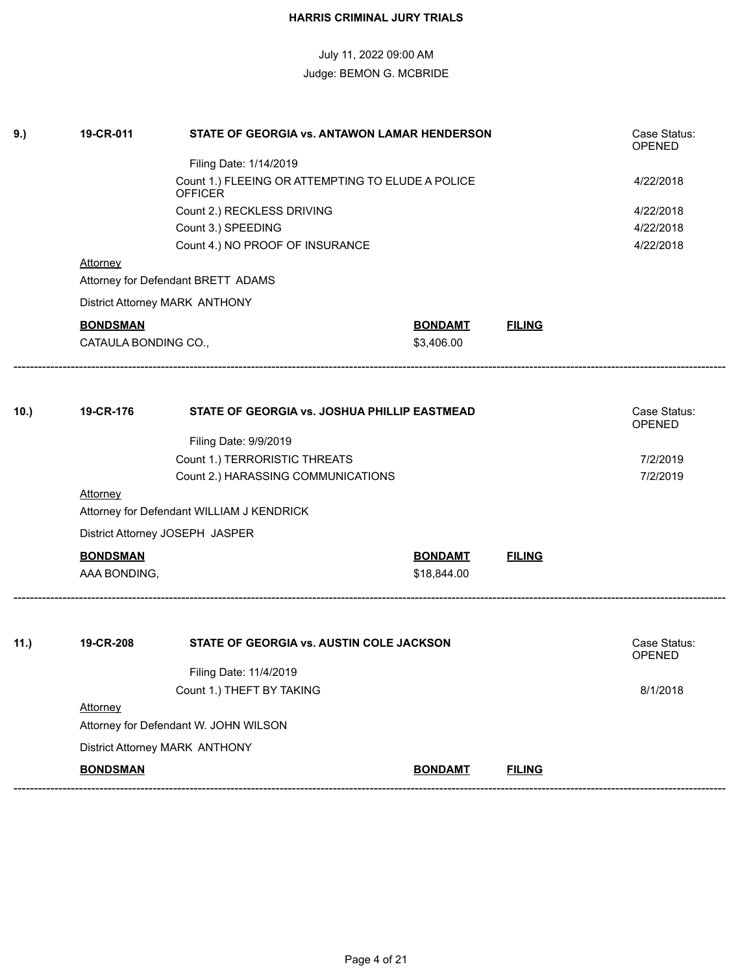| 9.)  | 19-CR-011            | STATE OF GEORGIA vs. ANTAWON LAMAR HENDERSON                        |                |                               | Case Status:<br>OPENED        |  |
|------|----------------------|---------------------------------------------------------------------|----------------|-------------------------------|-------------------------------|--|
|      |                      | Filing Date: 1/14/2019                                              |                |                               |                               |  |
|      |                      | Count 1.) FLEEING OR ATTEMPTING TO ELUDE A POLICE<br><b>OFFICER</b> |                |                               |                               |  |
|      |                      |                                                                     | 4/22/2018      |                               |                               |  |
|      |                      | 4/22/2018                                                           |                |                               |                               |  |
|      |                      | Count 4.) NO PROOF OF INSURANCE                                     |                |                               | 4/22/2018                     |  |
|      | <b>Attorney</b>      |                                                                     |                |                               |                               |  |
|      |                      | Attorney for Defendant BRETT ADAMS                                  |                |                               |                               |  |
|      |                      | District Attorney MARK ANTHONY                                      |                |                               |                               |  |
|      | <b>BONDSMAN</b>      |                                                                     | <b>BONDAMT</b> | <b>FILING</b>                 |                               |  |
|      | CATAULA BONDING CO., |                                                                     | \$3,406.00     |                               |                               |  |
|      |                      |                                                                     |                |                               |                               |  |
| 10.) | 19-CR-176            | STATE OF GEORGIA vs. JOSHUA PHILLIP EASTMEAD                        |                | Case Status:<br><b>OPENED</b> |                               |  |
|      |                      | Filing Date: 9/9/2019                                               |                |                               |                               |  |
|      |                      | Count 1.) TERRORISTIC THREATS                                       |                |                               | 7/2/2019                      |  |
|      |                      | Count 2.) HARASSING COMMUNICATIONS                                  |                |                               | 7/2/2019                      |  |
|      | Attorney             |                                                                     |                |                               |                               |  |
|      |                      | Attorney for Defendant WILLIAM J KENDRICK                           |                |                               |                               |  |
|      |                      | District Attorney JOSEPH JASPER                                     |                |                               |                               |  |
|      | <b>BONDSMAN</b>      |                                                                     | <b>BONDAMT</b> | <b>FILING</b>                 |                               |  |
|      | AAA BONDING,         |                                                                     | \$18,844.00    |                               |                               |  |
|      |                      |                                                                     |                |                               |                               |  |
| 11.) | 19-CR-208            | STATE OF GEORGIA vs. AUSTIN COLE JACKSON                            |                |                               | Case Status:<br><b>OPENED</b> |  |
|      |                      | Filing Date: 11/4/2019                                              |                |                               |                               |  |
|      |                      | Count 1.) THEFT BY TAKING                                           |                |                               | 8/1/2018                      |  |
|      | Attorney             |                                                                     |                |                               |                               |  |
|      |                      | Attorney for Defendant W. JOHN WILSON                               |                |                               |                               |  |
|      |                      | District Attorney MARK ANTHONY                                      |                |                               |                               |  |
|      | <b>BONDSMAN</b>      |                                                                     | <b>BONDAMT</b> | <b>FILING</b>                 |                               |  |
|      |                      |                                                                     |                |                               |                               |  |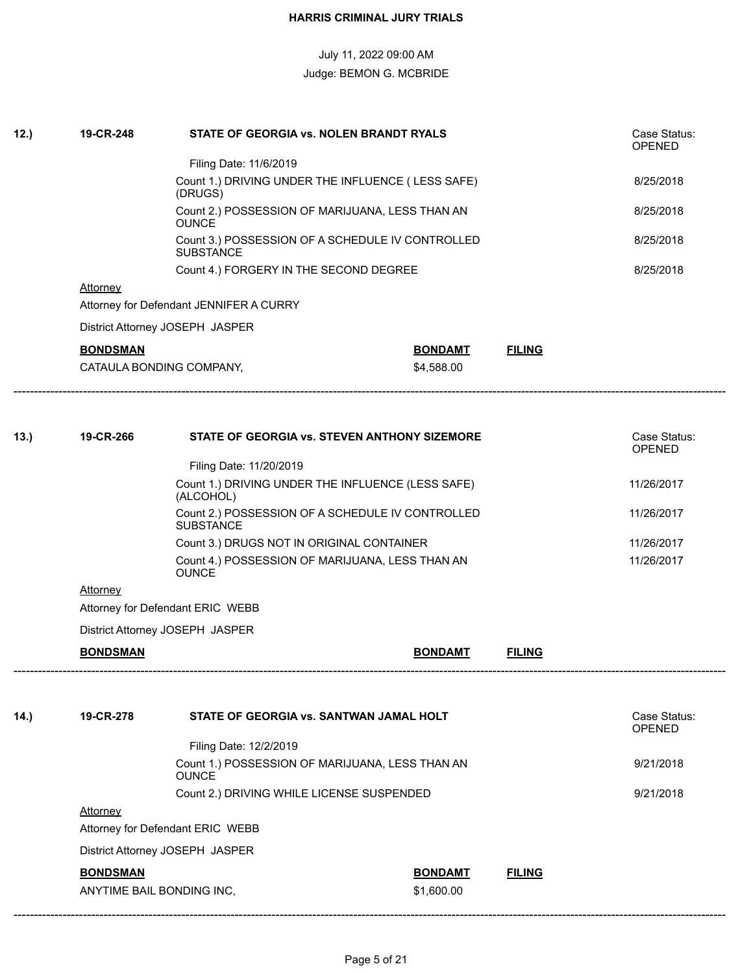| 12.) | 19-CR-248       | STATE OF GEORGIA vs. NOLEN BRANDT RYALS                                                                                      |                |               | Case Status:<br><b>OPENED</b>               |
|------|-----------------|------------------------------------------------------------------------------------------------------------------------------|----------------|---------------|---------------------------------------------|
|      |                 | Filing Date: 11/6/2019                                                                                                       |                |               |                                             |
|      |                 | Count 1.) DRIVING UNDER THE INFLUENCE (LESS SAFE)<br>(DRUGS)                                                                 |                |               | 8/25/2018                                   |
|      |                 | Count 2.) POSSESSION OF MARIJUANA, LESS THAN AN<br><b>OUNCE</b>                                                              |                |               | 8/25/2018                                   |
|      |                 | Count 3.) POSSESSION OF A SCHEDULE IV CONTROLLED<br><b>SUBSTANCE</b>                                                         |                |               | 8/25/2018                                   |
|      |                 | Count 4.) FORGERY IN THE SECOND DEGREE                                                                                       |                |               | 8/25/2018                                   |
|      | Attorney        |                                                                                                                              |                |               |                                             |
|      |                 | Attorney for Defendant JENNIFER A CURRY                                                                                      |                |               |                                             |
|      |                 | District Attorney JOSEPH JASPER                                                                                              |                |               |                                             |
|      | <b>BONDSMAN</b> |                                                                                                                              | <b>BONDAMT</b> | <b>FILING</b> |                                             |
|      |                 | CATAULA BONDING COMPANY,                                                                                                     | \$4,588.00     |               |                                             |
| 13.) | 19-CR-266       | STATE OF GEORGIA vs. STEVEN ANTHONY SIZEMORE<br>Filing Date: 11/20/2019<br>Count 1.) DRIVING UNDER THE INFLUENCE (LESS SAFE) |                |               | Case Status:<br><b>OPENED</b><br>11/26/2017 |
|      |                 | (ALCOHOL)<br>Count 2.) POSSESSION OF A SCHEDULE IV CONTROLLED                                                                |                |               | 11/26/2017                                  |
|      |                 | <b>SUBSTANCE</b>                                                                                                             |                |               |                                             |
|      |                 | Count 3.) DRUGS NOT IN ORIGINAL CONTAINER                                                                                    |                |               | 11/26/2017                                  |
|      |                 | Count 4.) POSSESSION OF MARIJUANA, LESS THAN AN<br><b>OUNCE</b>                                                              |                |               | 11/26/2017                                  |
|      | <b>Attorney</b> |                                                                                                                              |                |               |                                             |
|      |                 | Attorney for Defendant ERIC WEBB                                                                                             |                |               |                                             |
|      |                 | District Attorney JOSEPH JASPER                                                                                              |                |               |                                             |
|      | <b>BONDSMAN</b> |                                                                                                                              | <b>BONDAMT</b> | <b>FILING</b> |                                             |
|      |                 |                                                                                                                              |                |               |                                             |
| 14.) |                 |                                                                                                                              |                |               | Case Status:                                |
|      | 19-CR-278       | STATE OF GEORGIA vs. SANTWAN JAMAL HOLT                                                                                      |                |               | OPENED                                      |
|      |                 | Filing Date: 12/2/2019                                                                                                       |                |               |                                             |

Attorney for Defendant ERIC WEBB

District Attorney JOSEPH JASPER

#### **BONDSMAN BONDAMT FILING**

**Attorney** 

ANYTIME BAIL BONDING INC, \$1,600.00

------------------------------------------------------------------------------------------------------------------------------------------------------------------------------

Count 2.) DRIVING WHILE LICENSE SUSPENDED 9/21/2018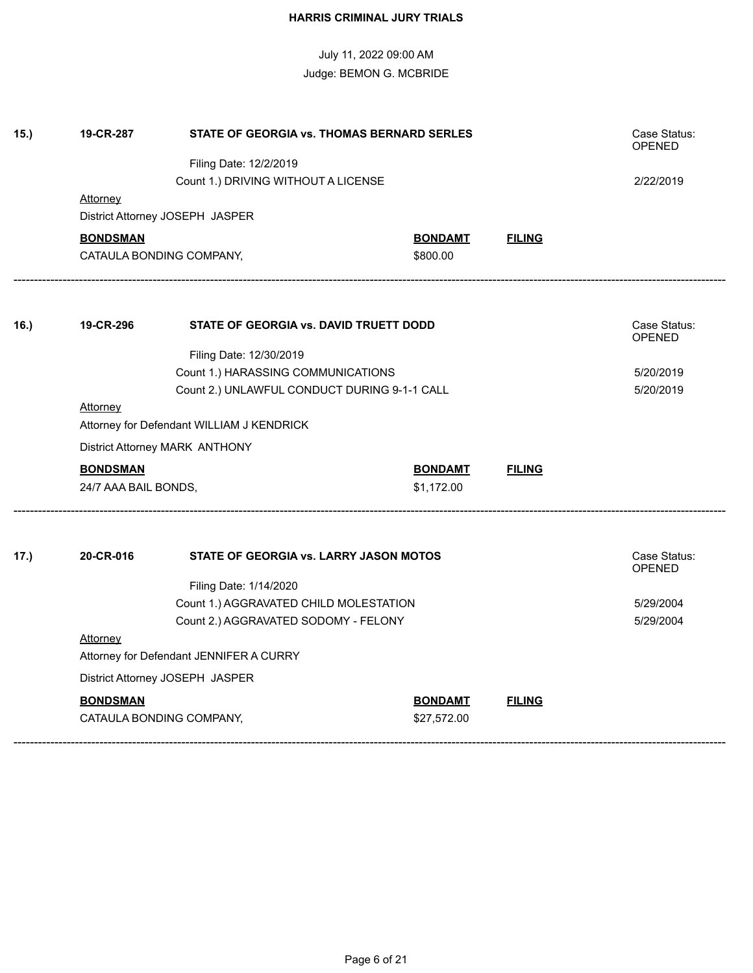| 15.) | 19-CR-287                      | Case Status:<br><b>OPENED</b>                                                      |                               |               |              |
|------|--------------------------------|------------------------------------------------------------------------------------|-------------------------------|---------------|--------------|
|      |                                |                                                                                    |                               |               |              |
|      |                                | Count 1.) DRIVING WITHOUT A LICENSE                                                |                               |               | 2/22/2019    |
|      | Attorney                       |                                                                                    |                               |               |              |
|      |                                | District Attorney JOSEPH JASPER                                                    |                               |               |              |
|      | <b>BONDSMAN</b>                |                                                                                    | <b>BONDAMT</b>                | <b>FILING</b> |              |
|      |                                | CATAULA BONDING COMPANY,                                                           | \$800.00                      |               |              |
|      |                                | STATE OF GEORGIA vs. DAVID TRUETT DODD                                             |                               |               |              |
| 16.) | 19-CR-296                      |                                                                                    | Case Status:<br><b>OPENED</b> |               |              |
|      |                                |                                                                                    |                               |               |              |
|      |                                | Count 1.) HARASSING COMMUNICATIONS<br>Count 2.) UNLAWFUL CONDUCT DURING 9-1-1 CALL |                               |               | 5/20/2019    |
|      |                                |                                                                                    | 5/20/2019                     |               |              |
|      | <b>Attorney</b>                | Attorney for Defendant WILLIAM J KENDRICK                                          |                               |               |              |
|      |                                |                                                                                    |                               |               |              |
|      | District Attorney MARK ANTHONY |                                                                                    |                               |               |              |
|      | <b>BONDSMAN</b>                |                                                                                    | <b>BONDAMT</b>                | <b>FILING</b> |              |
|      | 24/7 AAA BAIL BONDS,           |                                                                                    | \$1,172.00                    |               |              |
| 17.) | 20-CR-016                      | <b>STATE OF GEORGIA vs. LARRY JASON MOTOS</b>                                      |                               |               | Case Status: |
|      |                                |                                                                                    |                               |               | OPENED       |
|      |                                | Filing Date: 1/14/2020                                                             |                               |               |              |
|      |                                | Count 1.) AGGRAVATED CHILD MOLESTATION                                             |                               |               | 5/29/2004    |
|      |                                | Count 2.) AGGRAVATED SODOMY - FELONY                                               |                               |               | 5/29/2004    |
|      | <b>Attorney</b>                | Attorney for Defendant JENNIFER A CURRY                                            |                               |               |              |
|      |                                | District Attorney JOSEPH JASPER                                                    |                               |               |              |
|      | <b>BONDSMAN</b>                |                                                                                    | <b>BONDAMT</b>                | <b>FILING</b> |              |
|      |                                | CATAULA BONDING COMPANY,                                                           | \$27,572.00                   |               |              |
|      |                                |                                                                                    |                               |               |              |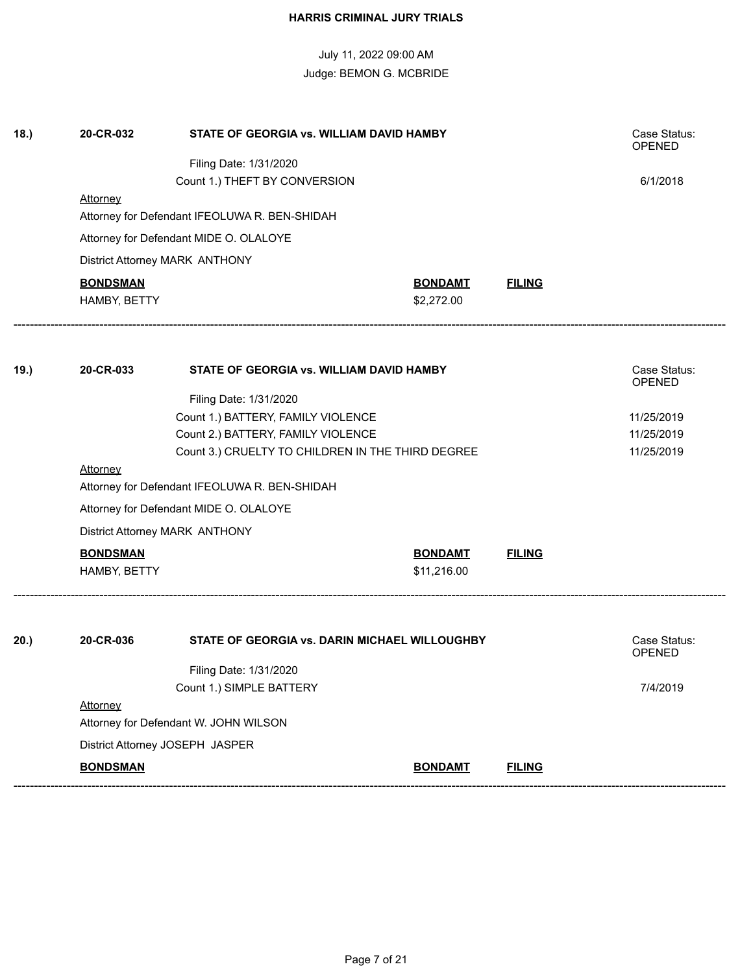| 18.) | 20-CR-032<br>STATE OF GEORGIA vs. WILLIAM DAVID HAMBY |                                                              |                |               | Case Status:<br><b>OPENED</b> |
|------|-------------------------------------------------------|--------------------------------------------------------------|----------------|---------------|-------------------------------|
|      |                                                       |                                                              |                |               |                               |
|      |                                                       | 6/1/2018                                                     |                |               |                               |
|      | Attorney                                              | Attorney for Defendant IFEOLUWA R. BEN-SHIDAH                |                |               |                               |
|      |                                                       |                                                              |                |               |                               |
|      |                                                       | Attorney for Defendant MIDE O. OLALOYE                       |                |               |                               |
|      |                                                       | District Attorney MARK ANTHONY                               |                |               |                               |
|      | <b>BONDSMAN</b>                                       |                                                              | <b>BONDAMT</b> | <b>FILING</b> |                               |
|      | HAMBY, BETTY                                          |                                                              | \$2,272.00     |               |                               |
| 19.) | 20-CR-033                                             | STATE OF GEORGIA vs. WILLIAM DAVID HAMBY                     |                |               | Case Status:                  |
|      |                                                       |                                                              |                |               | <b>OPENED</b>                 |
|      |                                                       | Filing Date: 1/31/2020<br>Count 1.) BATTERY, FAMILY VIOLENCE |                |               |                               |
|      |                                                       | 11/25/2019<br>11/25/2019                                     |                |               |                               |
|      |                                                       | 11/25/2019                                                   |                |               |                               |
|      | Attorney                                              |                                                              |                |               |                               |
|      | Attorney for Defendant IFEOLUWA R. BEN-SHIDAH         |                                                              |                |               |                               |
|      |                                                       | Attorney for Defendant MIDE O. OLALOYE                       |                |               |                               |
|      |                                                       | District Attorney MARK ANTHONY                               |                |               |                               |
|      | <b>BONDSMAN</b>                                       |                                                              | <b>BONDAMT</b> | <b>FILING</b> |                               |
|      | HAMBY, BETTY                                          |                                                              | \$11,216.00    |               |                               |
|      |                                                       |                                                              |                |               |                               |
| 20.) | 20-CR-036                                             | STATE OF GEORGIA vs. DARIN MICHAEL WILLOUGHBY                |                |               | Case Status:<br><b>OPENED</b> |
|      |                                                       | Filing Date: 1/31/2020                                       |                |               |                               |
|      |                                                       | Count 1.) SIMPLE BATTERY                                     |                |               | 7/4/2019                      |
|      | Attorney                                              |                                                              |                |               |                               |
|      |                                                       | Attorney for Defendant W. JOHN WILSON                        |                |               |                               |
|      |                                                       | District Attorney JOSEPH JASPER                              |                |               |                               |
|      | <b>BONDSMAN</b>                                       |                                                              | <b>BONDAMT</b> | <b>FILING</b> |                               |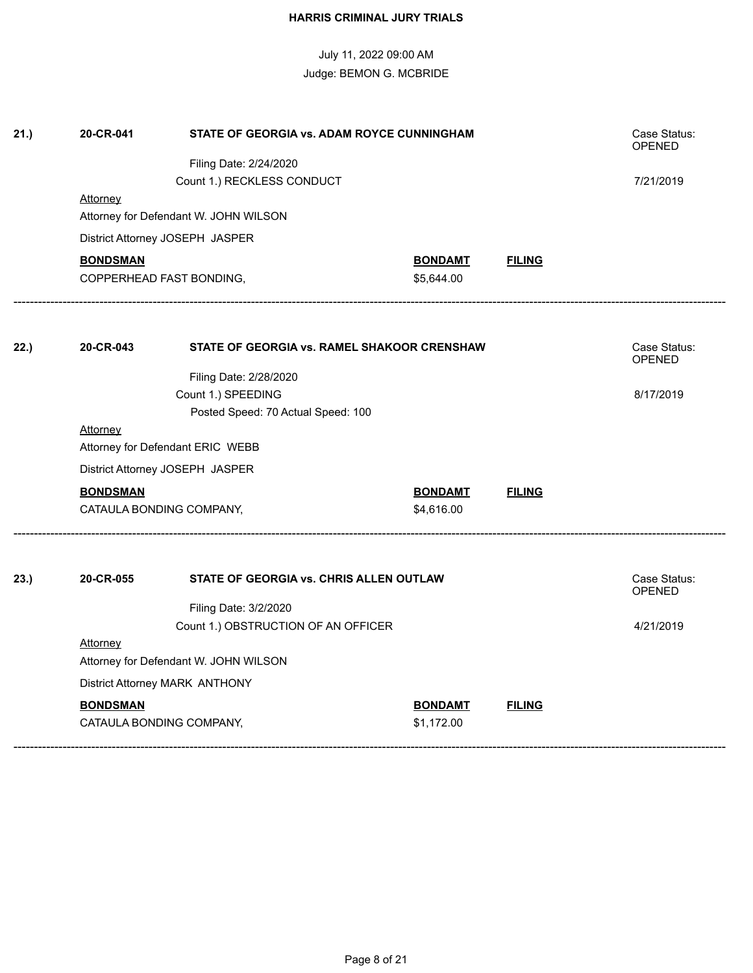| 21.) | 20-CR-041                                       | STATE OF GEORGIA vs. ADAM ROYCE CUNNINGHAM                                                                                                                                                                                           |                              |               | Case Status:                               |
|------|-------------------------------------------------|--------------------------------------------------------------------------------------------------------------------------------------------------------------------------------------------------------------------------------------|------------------------------|---------------|--------------------------------------------|
|      |                                                 | Filing Date: 2/24/2020                                                                                                                                                                                                               |                              |               | OPENED                                     |
|      |                                                 | Count 1.) RECKLESS CONDUCT                                                                                                                                                                                                           |                              |               | 7/21/2019                                  |
|      | Attorney                                        | Attorney for Defendant W. JOHN WILSON                                                                                                                                                                                                |                              |               |                                            |
|      |                                                 | District Attorney JOSEPH JASPER                                                                                                                                                                                                      |                              |               |                                            |
|      | <b>BONDSMAN</b>                                 | COPPERHEAD FAST BONDING,                                                                                                                                                                                                             | <b>BONDAMT</b><br>\$5,644.00 | <b>FILING</b> |                                            |
| 22.) | 20-CR-043<br><b>Attorney</b><br><b>BONDSMAN</b> | STATE OF GEORGIA vs. RAMEL SHAKOOR CRENSHAW<br>Filing Date: 2/28/2020<br>Count 1.) SPEEDING<br>Posted Speed: 70 Actual Speed: 100<br>Attorney for Defendant ERIC WEBB<br>District Attorney JOSEPH JASPER<br>CATAULA BONDING COMPANY, | <b>BONDAMT</b><br>\$4,616.00 | <b>FILING</b> | Case Status:<br>OPENED<br>8/17/2019        |
| 23.) | 20-CR-055<br><b>Attorney</b>                    | STATE OF GEORGIA vs. CHRIS ALLEN OUTLAW<br>Filing Date: 3/2/2020<br>Count 1.) OBSTRUCTION OF AN OFFICER                                                                                                                              |                              |               | Case Status:<br><b>OPENED</b><br>4/21/2019 |
|      |                                                 | Attorney for Defendant W. JOHN WILSON                                                                                                                                                                                                |                              |               |                                            |
|      | District Attorney MARK ANTHONY                  |                                                                                                                                                                                                                                      |                              |               |                                            |

**BONDSMAN BONDAMT FILING** CATAULA BONDING COMPANY, \$1,172.00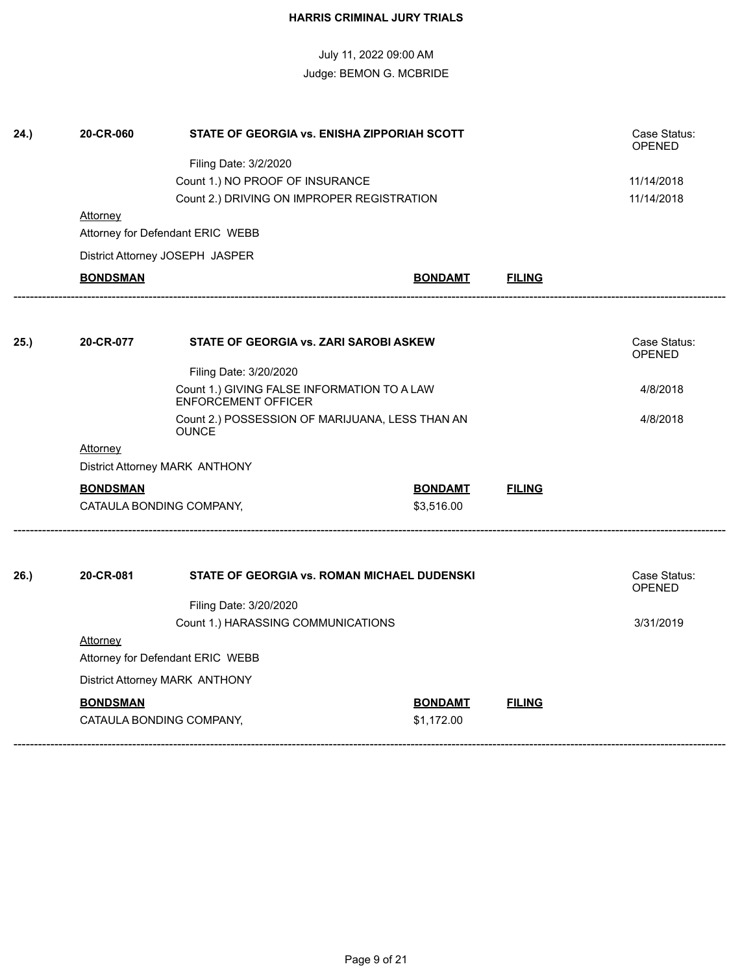| 24.) | 20-CR-060                                                                 | STATE OF GEORGIA vs. ENISHA ZIPPORIAH SCOTT |                |               | Case Status:<br><b>OPENED</b> |
|------|---------------------------------------------------------------------------|---------------------------------------------|----------------|---------------|-------------------------------|
|      |                                                                           | Filing Date: 3/2/2020                       |                |               |                               |
|      |                                                                           | 11/14/2018                                  |                |               |                               |
|      |                                                                           | Count 2.) DRIVING ON IMPROPER REGISTRATION  |                |               | 11/14/2018                    |
|      | Attorney                                                                  |                                             |                |               |                               |
|      |                                                                           | Attorney for Defendant ERIC WEBB            |                |               |                               |
|      |                                                                           | District Attorney JOSEPH JASPER             |                |               |                               |
|      | <b>BONDSMAN</b>                                                           |                                             | <b>BONDAMT</b> | <b>FILING</b> |                               |
|      |                                                                           |                                             |                |               |                               |
| 25.) | 20-CR-077                                                                 | STATE OF GEORGIA vs. ZARI SAROBI ASKEW      |                |               | Case Status:<br><b>OPENED</b> |
|      |                                                                           |                                             |                |               |                               |
|      | Count 1.) GIVING FALSE INFORMATION TO A LAW<br><b>ENFORCEMENT OFFICER</b> |                                             |                | 4/8/2018      |                               |
|      | Count 2.) POSSESSION OF MARIJUANA, LESS THAN AN<br><b>OUNCE</b>           |                                             |                |               | 4/8/2018                      |
|      | Attorney                                                                  |                                             |                |               |                               |
|      |                                                                           | District Attorney MARK ANTHONY              |                |               |                               |
|      | <b>BONDSMAN</b>                                                           |                                             | <b>BONDAMT</b> | <b>FILING</b> |                               |
|      |                                                                           | CATAULA BONDING COMPANY,                    | \$3,516.00     |               |                               |
|      |                                                                           |                                             |                |               |                               |
| 26.) | 20-CR-081                                                                 | STATE OF GEORGIA vs. ROMAN MICHAEL DUDENSKI |                |               | Case Status:<br><b>OPENED</b> |
|      |                                                                           | Filing Date: 3/20/2020                      |                |               |                               |
|      |                                                                           | Count 1.) HARASSING COMMUNICATIONS          |                |               | 3/31/2019                     |
|      | Attorney                                                                  |                                             |                |               |                               |
|      |                                                                           | Attorney for Defendant ERIC WEBB            |                |               |                               |
|      |                                                                           | District Attorney MARK ANTHONY              |                |               |                               |
|      | <b>BONDSMAN</b>                                                           |                                             | <b>BONDAMT</b> | <b>FILING</b> |                               |
|      |                                                                           | CATAULA BONDING COMPANY,                    | \$1,172.00     |               |                               |
|      |                                                                           |                                             |                |               |                               |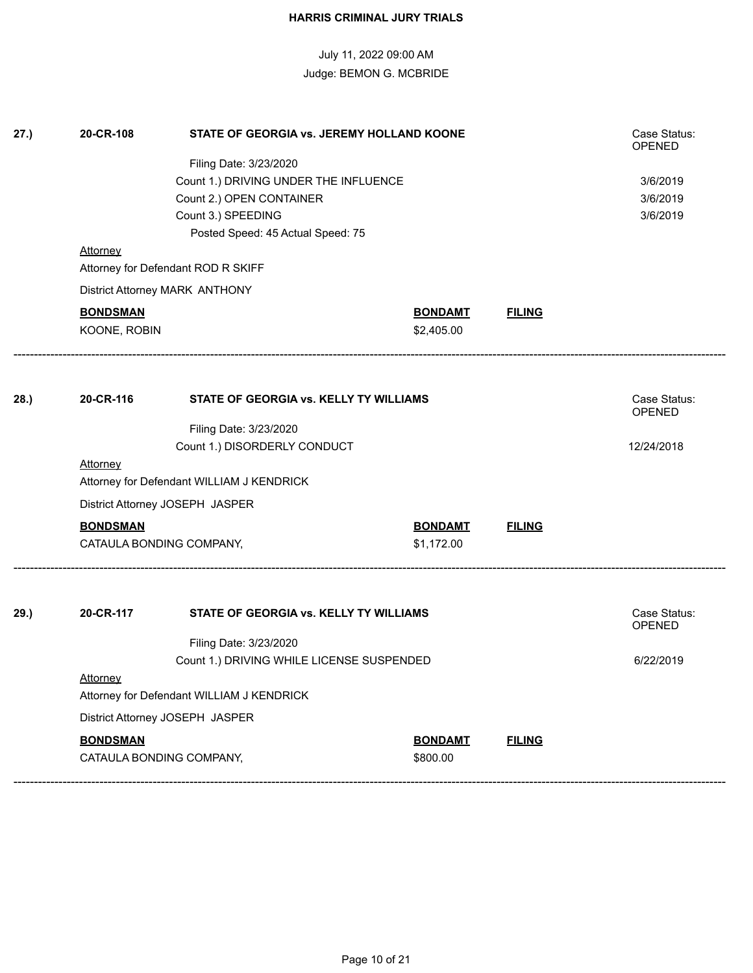| 27.) | 20-CR-108       | Case Status:<br><b>OPENED</b><br>3/6/2019<br>3/6/2019<br>3/6/2019         |                              |               |                        |
|------|-----------------|---------------------------------------------------------------------------|------------------------------|---------------|------------------------|
|      |                 | Posted Speed: 45 Actual Speed: 75                                         |                              |               |                        |
|      | <b>Attorney</b> | Attorney for Defendant ROD R SKIFF                                        |                              |               |                        |
|      |                 | District Attorney MARK ANTHONY                                            |                              |               |                        |
|      | <b>BONDSMAN</b> |                                                                           | <b>BONDAMT</b>               | <b>FILING</b> |                        |
|      | KOONE, ROBIN    |                                                                           | \$2,405.00                   |               |                        |
|      |                 |                                                                           |                              |               |                        |
| 28.  | 20-CR-116       | STATE OF GEORGIA vs. KELLY TY WILLIAMS                                    |                              |               | Case Status:<br>OPENED |
|      |                 | Filing Date: 3/23/2020                                                    |                              |               | 12/24/2018             |
|      | <b>Attorney</b> | Count 1.) DISORDERLY CONDUCT<br>Attorney for Defendant WILLIAM J KENDRICK |                              |               |                        |
|      |                 | District Attorney JOSEPH JASPER                                           |                              |               |                        |
|      | <b>BONDSMAN</b> | CATAULA BONDING COMPANY,                                                  | <b>BONDAMT</b><br>\$1,172.00 | <b>FILING</b> |                        |
| 29.) | 20-CR-117       | Case Status:<br>OPENED                                                    |                              |               |                        |
|      |                 | Filing Date: 3/23/2020                                                    |                              |               |                        |
|      |                 | Count 1.) DRIVING WHILE LICENSE SUSPENDED                                 |                              |               | 6/22/2019              |
|      | <b>Attorney</b> | Attorney for Defendant WILLIAM J KENDRICK                                 |                              |               |                        |
|      |                 | District Attorney JOSEPH JASPER                                           |                              |               |                        |
|      | <b>BONDSMAN</b> |                                                                           | <b>BONDAMT</b>               | <b>FILING</b> |                        |
|      |                 | CATAULA BONDING COMPANY,                                                  | \$800.00                     |               |                        |
|      |                 |                                                                           |                              |               |                        |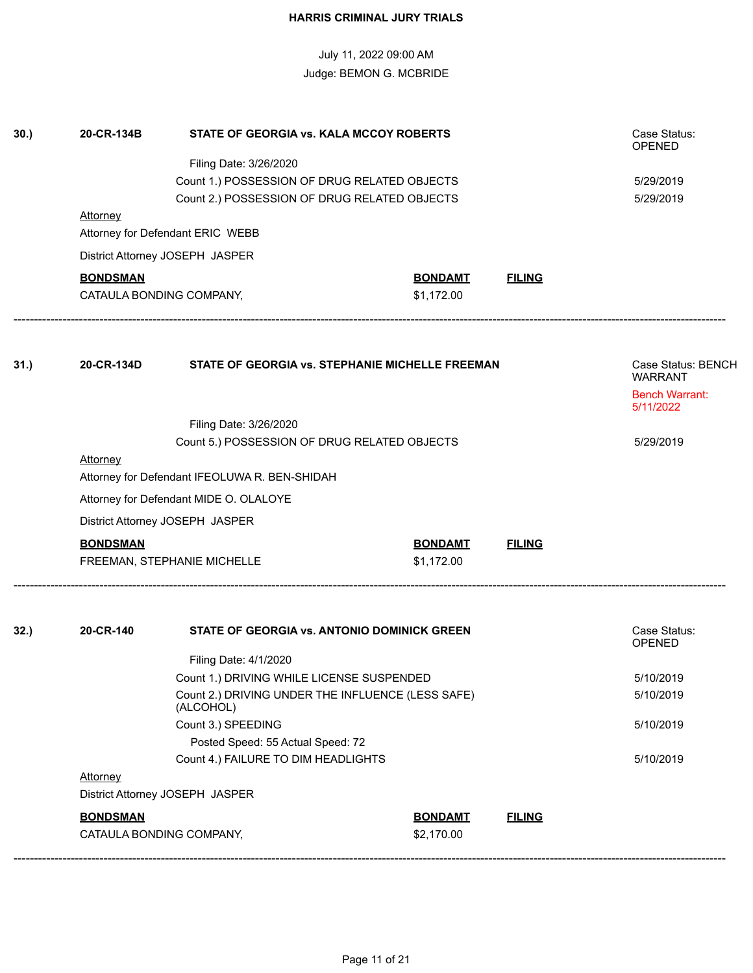|      |                                           | <b>HARRIS CRIMINAL JURY TRIALS</b>                                                                                                                                                                                                                                                                                       |                              |                |                                                                                         |
|------|-------------------------------------------|--------------------------------------------------------------------------------------------------------------------------------------------------------------------------------------------------------------------------------------------------------------------------------------------------------------------------|------------------------------|----------------|-----------------------------------------------------------------------------------------|
|      |                                           | July 11, 2022 09:00 AM<br>Judge: BEMON G. MCBRIDE                                                                                                                                                                                                                                                                        |                              |                |                                                                                         |
| 30.) | 20-CR-134B                                | STATE OF GEORGIA vs. KALA MCCOY ROBERTS                                                                                                                                                                                                                                                                                  |                              |                | Case Status:<br><b>OPENED</b>                                                           |
|      |                                           |                                                                                                                                                                                                                                                                                                                          | 5/29/2019<br>5/29/2019       |                |                                                                                         |
|      | <b>Attorney</b>                           | Attorney for Defendant ERIC WEBB                                                                                                                                                                                                                                                                                         |                              |                |                                                                                         |
|      |                                           | District Attorney JOSEPH JASPER                                                                                                                                                                                                                                                                                          |                              |                |                                                                                         |
|      | <b>BONDSMAN</b>                           | CATAULA BONDING COMPANY,                                                                                                                                                                                                                                                                                                 | <b>BONDAMT</b><br>\$1,172.00 | <b>FILING</b>  |                                                                                         |
| 31.  | 20-CR-134D<br>Attorney<br><b>BONDSMAN</b> | STATE OF GEORGIA vs. STEPHANIE MICHELLE FREEMAN<br>Filing Date: 3/26/2020<br>Count 5.) POSSESSION OF DRUG RELATED OBJECTS<br>Attorney for Defendant IFEOLUWA R. BEN-SHIDAH<br>Attorney for Defendant MIDE O. OLALOYE<br>District Attorney JOSEPH JASPER<br>FREEMAN, STEPHANIE MICHELLE                                   | <b>BONDAMT</b><br>\$1,172.00 | <b>FILING</b>  | Case Status: BENCH<br><b>WARRANT</b><br><b>Bench Warrant:</b><br>5/11/2022<br>5/29/2019 |
| 32.  | 20-CR-140<br>Attorney<br><b>DONDOMAN</b>  | STATE OF GEORGIA vs. ANTONIO DOMINICK GREEN<br>Filing Date: 4/1/2020<br>Count 1.) DRIVING WHILE LICENSE SUSPENDED<br>Count 2.) DRIVING UNDER THE INFLUENCE (LESS SAFE)<br>(ALCOHOL)<br>Count 3.) SPEEDING<br>Posted Speed: 55 Actual Speed: 72<br>Count 4.) FAILURE TO DIM HEADLIGHTS<br>District Attorney JOSEPH JASPER | <b>DONIDAMT</b>              | <b>CU INIC</b> | Case Status:<br><b>OPENED</b><br>5/10/2019<br>5/10/2019<br>5/10/2019<br>5/10/2019       |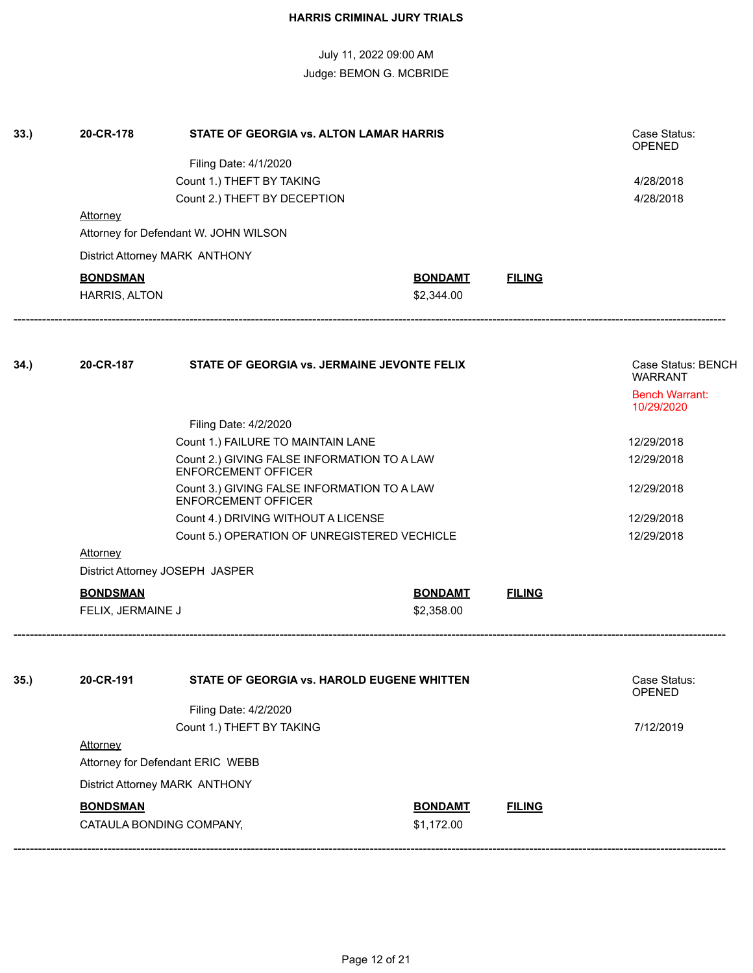| 33.  | 20-CR-178                                                                 | Case Status:<br>OPENED                             |                |               |                                      |
|------|---------------------------------------------------------------------------|----------------------------------------------------|----------------|---------------|--------------------------------------|
|      |                                                                           |                                                    |                |               |                                      |
|      |                                                                           | Filing Date: 4/1/2020<br>Count 1.) THEFT BY TAKING |                |               | 4/28/2018                            |
|      |                                                                           | Count 2.) THEFT BY DECEPTION                       |                |               | 4/28/2018                            |
|      | <b>Attorney</b>                                                           |                                                    |                |               |                                      |
|      |                                                                           | Attorney for Defendant W. JOHN WILSON              |                |               |                                      |
|      |                                                                           | District Attorney MARK ANTHONY                     |                |               |                                      |
|      | <b>BONDSMAN</b>                                                           |                                                    | <b>BONDAMT</b> | <b>FILING</b> |                                      |
|      | HARRIS, ALTON                                                             |                                                    | \$2,344.00     |               |                                      |
|      | 20-CR-187                                                                 |                                                    |                |               |                                      |
| 34.) |                                                                           | STATE OF GEORGIA vs. JERMAINE JEVONTE FELIX        |                |               | Case Status: BENCH<br><b>WARRANT</b> |
|      |                                                                           |                                                    |                |               | <b>Bench Warrant:</b><br>10/29/2020  |
|      |                                                                           |                                                    |                |               |                                      |
|      |                                                                           | 12/29/2018                                         |                |               |                                      |
|      |                                                                           | 12/29/2018                                         |                |               |                                      |
|      | Count 3.) GIVING FALSE INFORMATION TO A LAW<br><b>ENFORCEMENT OFFICER</b> |                                                    |                |               | 12/29/2018                           |
|      |                                                                           | Count 4.) DRIVING WITHOUT A LICENSE                |                |               | 12/29/2018                           |
|      |                                                                           | Count 5.) OPERATION OF UNREGISTERED VECHICLE       |                |               | 12/29/2018                           |
|      | <b>Attorney</b>                                                           |                                                    |                |               |                                      |
|      |                                                                           | District Attorney JOSEPH JASPER                    |                |               |                                      |
|      | <b>BONDSMAN</b>                                                           |                                                    | <b>BONDAMT</b> | <b>FILING</b> |                                      |
|      | FELIX, JERMAINE J                                                         |                                                    | \$2,358.00     |               |                                      |
| 35.  | 20-CR-191                                                                 | STATE OF GEORGIA vs. HAROLD EUGENE WHITTEN         |                |               | Case Status:<br><b>OPENED</b>        |
|      |                                                                           | Filing Date: 4/2/2020                              |                |               |                                      |
|      |                                                                           | Count 1.) THEFT BY TAKING                          |                |               | 7/12/2019                            |
|      | Attorney                                                                  |                                                    |                |               |                                      |
|      |                                                                           | Attorney for Defendant ERIC WEBB                   |                |               |                                      |
|      |                                                                           | District Attorney MARK ANTHONY                     |                |               |                                      |
|      |                                                                           |                                                    |                |               |                                      |

**BONDSMAN BONDAMT FILING** CATAULA BONDING COMPANY, \$1,172.00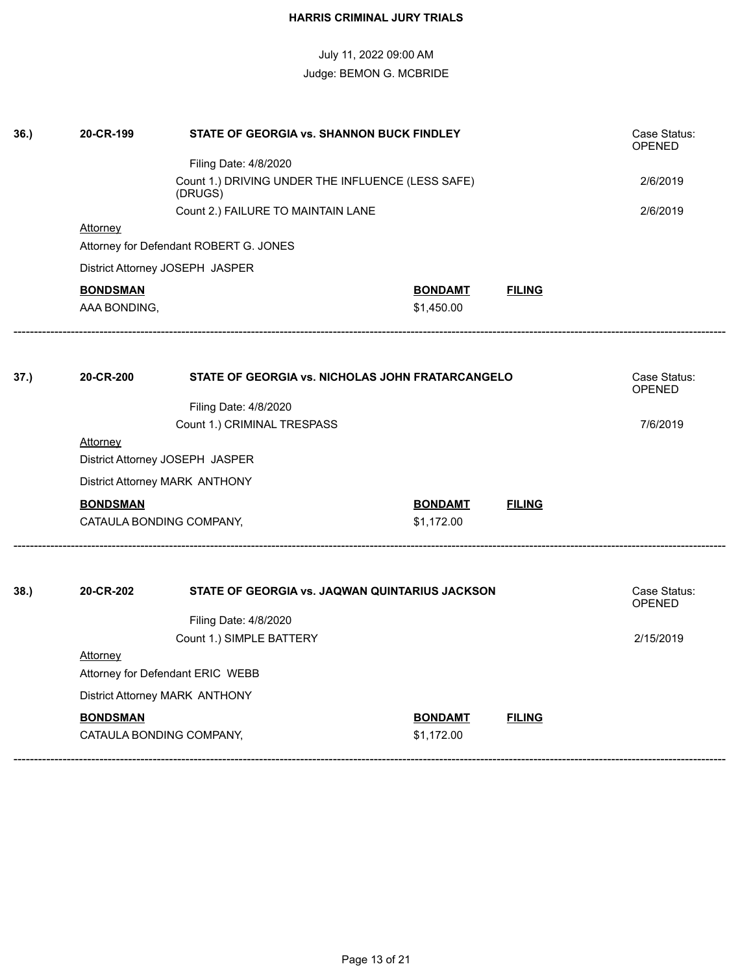| 36.  | 20-CR-199<br>STATE OF GEORGIA vs. SHANNON BUCK FINDLEY |                                                  |                |               | Case Status:<br>OPENED        |  |
|------|--------------------------------------------------------|--------------------------------------------------|----------------|---------------|-------------------------------|--|
|      |                                                        | Filing Date: 4/8/2020                            |                |               |                               |  |
|      |                                                        | 2/6/2019                                         |                |               |                               |  |
|      |                                                        | Count 2.) FAILURE TO MAINTAIN LANE               |                |               | 2/6/2019                      |  |
|      | <b>Attorney</b>                                        |                                                  |                |               |                               |  |
|      |                                                        | Attorney for Defendant ROBERT G. JONES           |                |               |                               |  |
|      | District Attorney JOSEPH JASPER                        |                                                  |                |               |                               |  |
|      | <b>BONDSMAN</b>                                        |                                                  | <b>BONDAMT</b> | <b>FILING</b> |                               |  |
|      | AAA BONDING,                                           |                                                  | \$1,450.00     |               |                               |  |
|      |                                                        |                                                  |                |               |                               |  |
| 37.) | 20-CR-200                                              | STATE OF GEORGIA vs. NICHOLAS JOHN FRATARCANGELO |                |               | Case Status:<br><b>OPENED</b> |  |
|      |                                                        | Filing Date: 4/8/2020                            |                |               |                               |  |
|      |                                                        | Count 1.) CRIMINAL TRESPASS                      |                |               | 7/6/2019                      |  |
|      | <b>Attorney</b>                                        |                                                  |                |               |                               |  |
|      | District Attorney JOSEPH JASPER                        |                                                  |                |               |                               |  |
|      | District Attorney MARK ANTHONY                         |                                                  |                |               |                               |  |
|      | <b>BONDSMAN</b>                                        |                                                  | <b>BONDAMT</b> | <b>FILING</b> |                               |  |
|      | CATAULA BONDING COMPANY,                               |                                                  | \$1,172.00     |               |                               |  |
|      |                                                        |                                                  |                |               |                               |  |
| 38.  | 20-CR-202                                              | STATE OF GEORGIA vs. JAQWAN QUINTARIUS JACKSON   |                |               | Case Status:<br><b>OPENED</b> |  |
|      |                                                        | Filing Date: 4/8/2020                            |                |               |                               |  |
|      |                                                        | Count 1.) SIMPLE BATTERY                         |                |               | 2/15/2019                     |  |
|      | <b>Attorney</b>                                        |                                                  |                |               |                               |  |
|      | Attorney for Defendant ERIC WEBB                       |                                                  |                |               |                               |  |
|      | District Attorney MARK ANTHONY                         |                                                  |                |               |                               |  |
|      | <b>BONDSMAN</b>                                        |                                                  | <b>BONDAMT</b> | <b>FILING</b> |                               |  |
|      | CATAULA BONDING COMPANY,                               |                                                  | \$1,172.00     |               |                               |  |
|      |                                                        |                                                  |                |               |                               |  |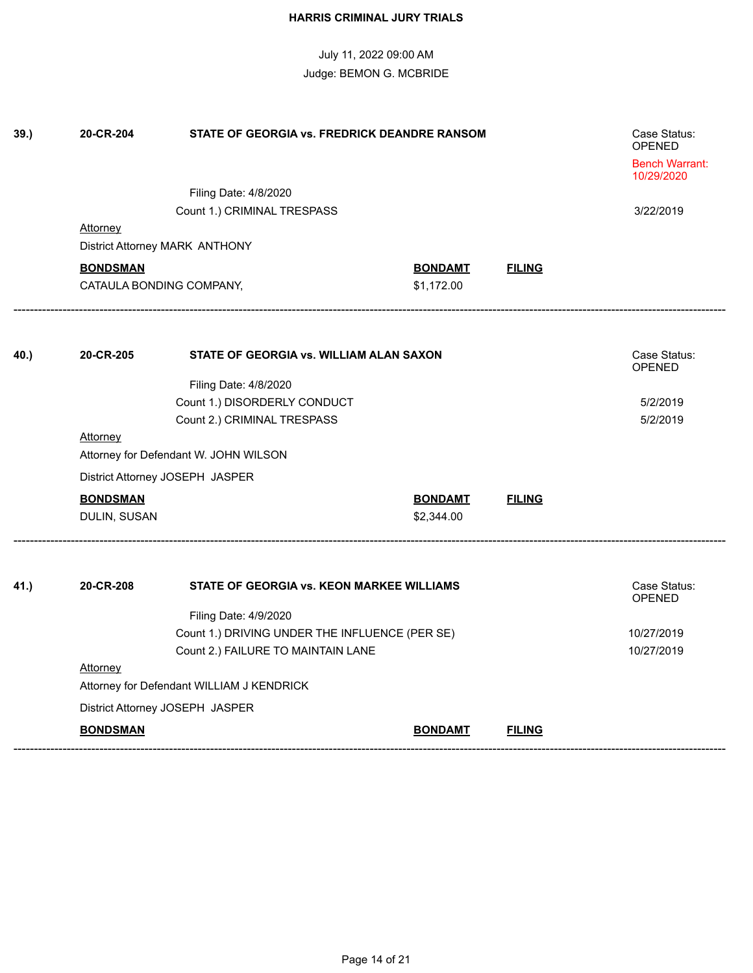| 39.  | 20-CR-204                             | Case Status:<br><b>OPENED</b>                  |                |               |                                     |  |  |
|------|---------------------------------------|------------------------------------------------|----------------|---------------|-------------------------------------|--|--|
|      |                                       |                                                |                |               | <b>Bench Warrant:</b><br>10/29/2020 |  |  |
|      |                                       | Filing Date: 4/8/2020                          |                |               |                                     |  |  |
|      |                                       | Count 1.) CRIMINAL TRESPASS                    |                |               | 3/22/2019                           |  |  |
|      | Attorney                              |                                                |                |               |                                     |  |  |
|      |                                       | District Attorney MARK ANTHONY                 |                |               |                                     |  |  |
|      | <b>BONDSMAN</b>                       |                                                | <b>BONDAMT</b> | <b>FILING</b> |                                     |  |  |
|      |                                       | CATAULA BONDING COMPANY,                       | \$1,172.00     |               |                                     |  |  |
| 40.) | 20-CR-205                             | STATE OF GEORGIA vs. WILLIAM ALAN SAXON        |                |               | Case Status:                        |  |  |
|      |                                       |                                                |                |               | <b>OPENED</b>                       |  |  |
|      |                                       | Filing Date: 4/8/2020                          |                |               |                                     |  |  |
|      |                                       | Count 1.) DISORDERLY CONDUCT                   |                |               | 5/2/2019                            |  |  |
|      |                                       | Count 2.) CRIMINAL TRESPASS                    |                |               | 5/2/2019                            |  |  |
|      | Attorney                              |                                                |                |               |                                     |  |  |
|      | Attorney for Defendant W. JOHN WILSON |                                                |                |               |                                     |  |  |
|      |                                       | District Attorney JOSEPH JASPER                |                |               |                                     |  |  |
|      | <b>BONDSMAN</b>                       |                                                | <b>BONDAMT</b> | <b>FILING</b> |                                     |  |  |
|      | DULIN, SUSAN                          |                                                | \$2,344.00     |               |                                     |  |  |
| 41.) | 20-CR-208                             | STATE OF GEORGIA vs. KEON MARKEE WILLIAMS      |                |               | Case Status:                        |  |  |
|      |                                       |                                                |                |               | OPENED                              |  |  |
|      |                                       | Filing Date: 4/9/2020                          |                |               |                                     |  |  |
|      |                                       | Count 1.) DRIVING UNDER THE INFLUENCE (PER SE) |                |               | 10/27/2019                          |  |  |
|      |                                       | Count 2.) FAILURE TO MAINTAIN LANE             |                |               | 10/27/2019                          |  |  |
|      |                                       | Attorney                                       |                |               |                                     |  |  |
|      |                                       | Attorney for Defendant WILLIAM J KENDRICK      |                |               |                                     |  |  |
|      |                                       | District Attorney JOSEPH JASPER                |                |               |                                     |  |  |
|      | <b>BONDSMAN</b>                       |                                                | <b>BONDAMT</b> | <b>FILING</b> |                                     |  |  |
|      |                                       |                                                |                |               |                                     |  |  |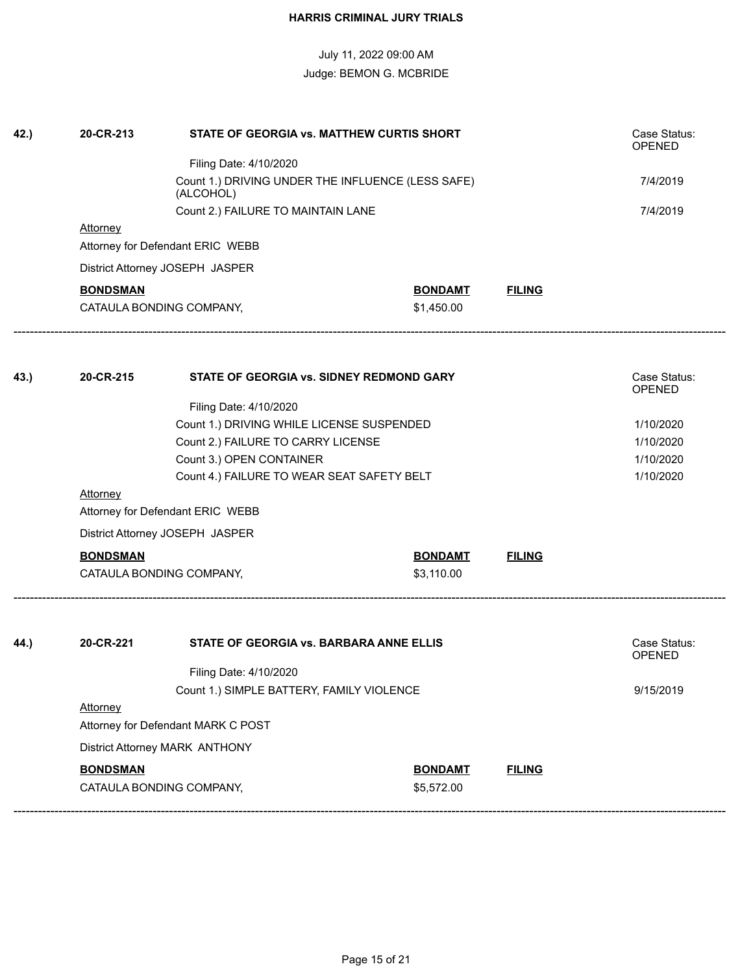| 42.) | 20-CR-213                                    | STATE OF GEORGIA vs. MATTHEW CURTIS SHORT |                |               | Case Status:<br><b>OPENED</b> |
|------|----------------------------------------------|-------------------------------------------|----------------|---------------|-------------------------------|
|      |                                              |                                           |                |               |                               |
|      |                                              | 7/4/2019                                  |                |               |                               |
|      |                                              | 7/4/2019                                  |                |               |                               |
|      | <b>Attorney</b>                              |                                           |                |               |                               |
|      | Attorney for Defendant ERIC WEBB             |                                           |                |               |                               |
|      |                                              | District Attorney JOSEPH JASPER           |                |               |                               |
|      | <b>BONDSMAN</b>                              |                                           | <b>BONDAMT</b> | <b>FILING</b> |                               |
|      |                                              | CATAULA BONDING COMPANY,                  | \$1,450.00     |               |                               |
|      |                                              |                                           |                |               |                               |
| 43.) | 20-CR-215                                    | STATE OF GEORGIA vs. SIDNEY REDMOND GARY  |                |               | Case Status:<br><b>OPENED</b> |
|      |                                              | Filing Date: 4/10/2020                    |                |               |                               |
|      |                                              | 1/10/2020                                 |                |               |                               |
|      |                                              | 1/10/2020                                 |                |               |                               |
|      |                                              | 1/10/2020                                 |                |               |                               |
|      |                                              | 1/10/2020                                 |                |               |                               |
|      | Attorney<br>Attorney for Defendant ERIC WEBB |                                           |                |               |                               |
|      | District Attorney JOSEPH JASPER              |                                           |                |               |                               |
|      | <b>BONDSMAN</b>                              |                                           | <b>BONDAMT</b> | <b>FILING</b> |                               |
|      |                                              | CATAULA BONDING COMPANY,                  | \$3,110.00     |               |                               |
|      | 20-CR-221                                    | STATE OF GEORGIA vs. BARBARA ANNE ELLIS   |                |               | Case Status:                  |
| 44.) |                                              |                                           |                |               | <b>OPENED</b>                 |
|      |                                              | Filing Date: 4/10/2020                    |                |               |                               |
|      |                                              | 9/15/2019                                 |                |               |                               |
|      | Attorney                                     |                                           |                |               |                               |
|      | Attorney for Defendant MARK C POST           |                                           |                |               |                               |
|      | District Attorney MARK ANTHONY               |                                           |                |               |                               |
|      | <b>BONDSMAN</b>                              |                                           | <b>BONDAMT</b> | <b>FILING</b> |                               |
|      | CATAULA BONDING COMPANY,                     |                                           | \$5,572.00     |               |                               |
|      |                                              |                                           |                |               |                               |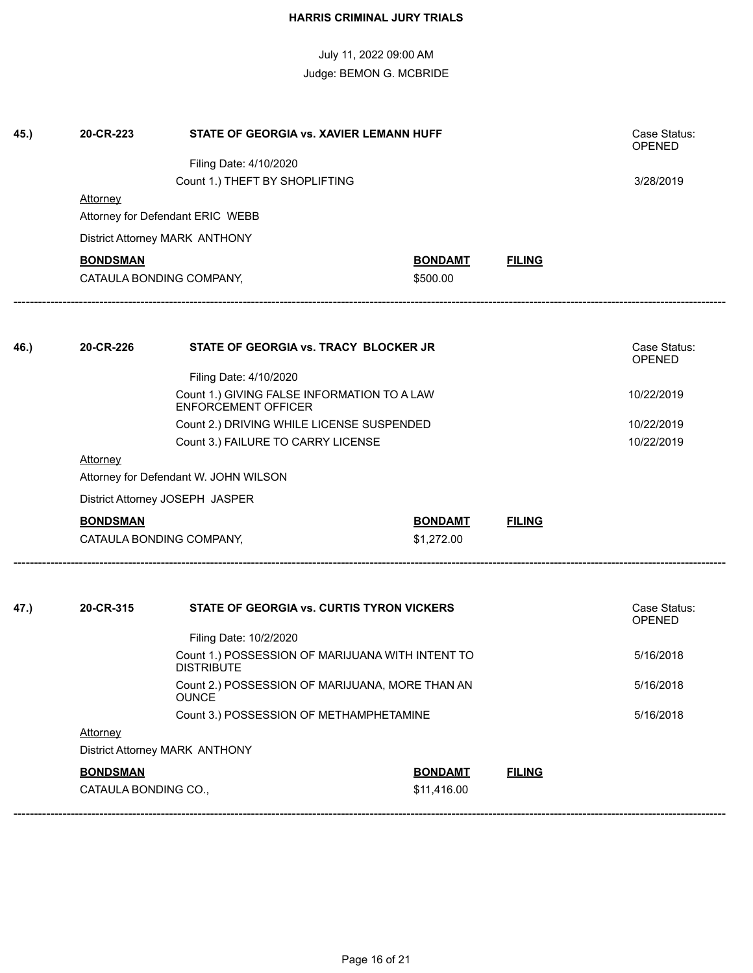| 45.) | 20-CR-223                                                             | STATE OF GEORGIA vs. XAVIER LEMANN HUFF                                   |                |               | Case Status:<br><b>OPENED</b> |  |  |
|------|-----------------------------------------------------------------------|---------------------------------------------------------------------------|----------------|---------------|-------------------------------|--|--|
|      |                                                                       | Filing Date: 4/10/2020                                                    |                |               |                               |  |  |
|      |                                                                       | Count 1.) THEFT BY SHOPLIFTING                                            |                |               | 3/28/2019                     |  |  |
|      | <b>Attorney</b>                                                       |                                                                           |                |               |                               |  |  |
|      |                                                                       | Attorney for Defendant ERIC WEBB                                          |                |               |                               |  |  |
|      | District Attorney MARK ANTHONY                                        |                                                                           |                |               |                               |  |  |
|      | <b>BONDSMAN</b>                                                       |                                                                           | <b>BONDAMT</b> | <b>FILING</b> |                               |  |  |
|      |                                                                       | CATAULA BONDING COMPANY,                                                  | \$500.00       |               |                               |  |  |
|      |                                                                       |                                                                           |                |               |                               |  |  |
| 46.) | 20-CR-226                                                             | STATE OF GEORGIA vs. TRACY BLOCKER JR                                     |                |               | Case Status:<br><b>OPENED</b> |  |  |
|      |                                                                       | Filing Date: 4/10/2020                                                    |                |               |                               |  |  |
|      |                                                                       | Count 1.) GIVING FALSE INFORMATION TO A LAW<br><b>ENFORCEMENT OFFICER</b> |                |               | 10/22/2019                    |  |  |
|      |                                                                       | 10/22/2019                                                                |                |               |                               |  |  |
|      |                                                                       | Count 3.) FAILURE TO CARRY LICENSE                                        |                |               | 10/22/2019                    |  |  |
|      | Attorney                                                              |                                                                           |                |               |                               |  |  |
|      | Attorney for Defendant W. JOHN WILSON                                 |                                                                           |                |               |                               |  |  |
|      | District Attorney JOSEPH JASPER                                       |                                                                           |                |               |                               |  |  |
|      | <b>BONDSMAN</b>                                                       |                                                                           | <b>BONDAMT</b> | <b>FILING</b> |                               |  |  |
|      |                                                                       | CATAULA BONDING COMPANY,                                                  | \$1,272.00     |               |                               |  |  |
| 47.) | 20-CR-315                                                             | STATE OF GEORGIA vs. CURTIS TYRON VICKERS                                 |                |               | Case Status:                  |  |  |
|      |                                                                       |                                                                           | <b>OPENED</b>  |               |                               |  |  |
|      |                                                                       |                                                                           |                |               |                               |  |  |
|      | Count 1.) POSSESSION OF MARIJUANA WITH INTENT TO<br><b>DISTRIBUTE</b> |                                                                           |                |               | 5/16/2018                     |  |  |
|      | Count 2.) POSSESSION OF MARIJUANA, MORE THAN AN<br><b>OUNCE</b>       |                                                                           |                |               | 5/16/2018                     |  |  |
|      |                                                                       | 5/16/2018                                                                 |                |               |                               |  |  |
|      | <b>Attorney</b>                                                       |                                                                           |                |               |                               |  |  |
|      | District Attorney MARK ANTHONY                                        |                                                                           |                |               |                               |  |  |
|      | <b>BONDSMAN</b>                                                       |                                                                           | <b>BONDAMT</b> | <b>FILING</b> |                               |  |  |
|      | CATAULA BONDING CO.,                                                  |                                                                           | \$11,416.00    |               |                               |  |  |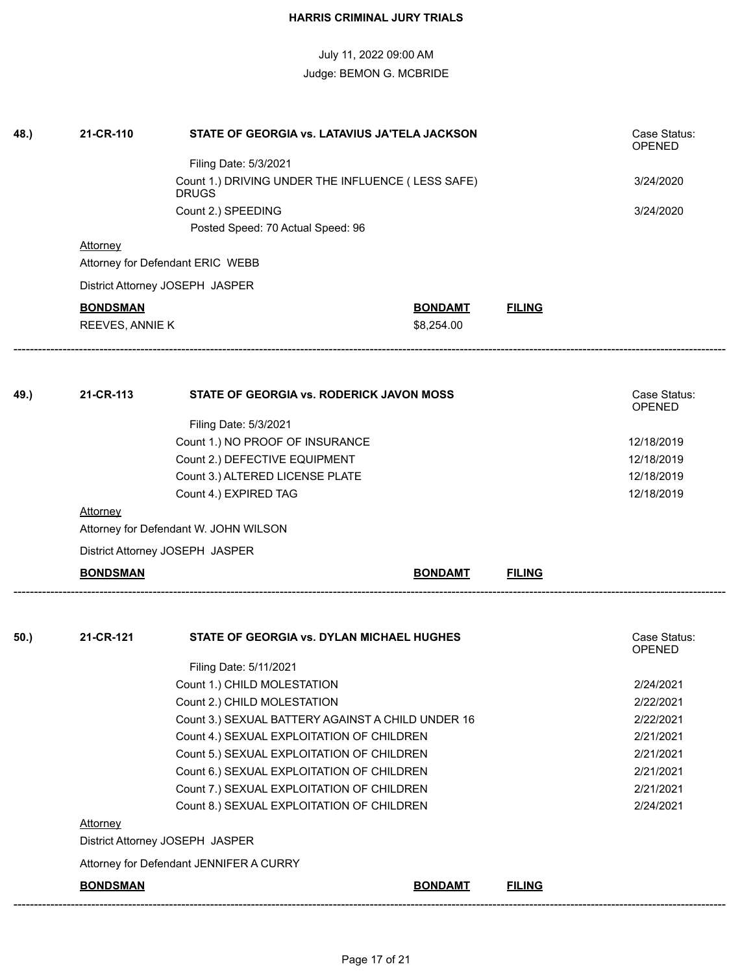| 48.) | 21-CR-110       | STATE OF GEORGIA vs. LATAVIUS JA'TELA JACKSON                                          |                |               | Case Status:<br><b>OPENED</b> |
|------|-----------------|----------------------------------------------------------------------------------------|----------------|---------------|-------------------------------|
|      |                 | Filing Date: 5/3/2021                                                                  |                |               |                               |
|      |                 | Count 1.) DRIVING UNDER THE INFLUENCE (LESS SAFE)<br><b>DRUGS</b>                      |                |               | 3/24/2020                     |
|      |                 | Count 2.) SPEEDING                                                                     |                |               | 3/24/2020                     |
|      |                 | Posted Speed: 70 Actual Speed: 96                                                      |                |               |                               |
|      | <b>Attorney</b> |                                                                                        |                |               |                               |
|      |                 | Attorney for Defendant ERIC WEBB                                                       |                |               |                               |
|      |                 | District Attorney JOSEPH JASPER                                                        |                |               |                               |
|      | <b>BONDSMAN</b> |                                                                                        | <b>BONDAMT</b> | <b>FILING</b> |                               |
|      | REEVES, ANNIE K |                                                                                        | \$8,254.00     |               |                               |
|      |                 |                                                                                        |                |               |                               |
| 49.) | 21-CR-113       | STATE OF GEORGIA vs. RODERICK JAVON MOSS                                               |                |               | Case Status:<br><b>OPENED</b> |
|      |                 | Filing Date: 5/3/2021                                                                  |                |               |                               |
|      |                 | Count 1.) NO PROOF OF INSURANCE                                                        |                |               | 12/18/2019                    |
|      |                 | Count 2.) DEFECTIVE EQUIPMENT                                                          |                |               | 12/18/2019                    |
|      |                 | Count 3.) ALTERED LICENSE PLATE                                                        |                |               | 12/18/2019                    |
|      |                 | Count 4.) EXPIRED TAG                                                                  |                |               | 12/18/2019                    |
|      | <b>Attorney</b> |                                                                                        |                |               |                               |
|      |                 | Attorney for Defendant W. JOHN WILSON                                                  |                |               |                               |
|      |                 | District Attorney JOSEPH JASPER                                                        |                |               |                               |
|      | <b>BONDSMAN</b> |                                                                                        | <b>BONDAMT</b> | <b>FILING</b> |                               |
| 50.) | 21-CR-121       | STATE OF GEORGIA vs. DYLAN MICHAEL HUGHES                                              |                |               | Case Status:                  |
|      |                 |                                                                                        |                |               | <b>OPENED</b>                 |
|      |                 | Filing Date: 5/11/2021                                                                 |                |               |                               |
|      |                 | Count 1.) CHILD MOLESTATION                                                            |                |               | 2/24/2021                     |
|      |                 | Count 2.) CHILD MOLESTATION                                                            |                |               | 2/22/2021                     |
|      |                 | Count 3.) SEXUAL BATTERY AGAINST A CHILD UNDER 16                                      |                |               | 2/22/2021                     |
|      |                 | Count 4.) SEXUAL EXPLOITATION OF CHILDREN<br>Count 5.) SEXUAL EXPLOITATION OF CHILDREN |                |               | 2/21/2021                     |
|      |                 | 2/21/2021                                                                              |                |               |                               |
|      |                 | Count 6.) SEXUAL EXPLOITATION OF CHILDREN                                              |                |               | 2/21/2021                     |
|      |                 | Count 7.) SEXUAL EXPLOITATION OF CHILDREN                                              |                |               | 2/21/2021                     |
|      |                 | Count 8.) SEXUAL EXPLOITATION OF CHILDREN                                              |                |               | 2/24/2021                     |
|      | <b>Attorney</b> |                                                                                        |                |               |                               |
|      |                 | District Attorney JOSEPH JASPER                                                        |                |               |                               |
|      |                 | Attorney for Defendant JENNIFER A CURRY                                                |                |               |                               |
|      | <b>BONDSMAN</b> |                                                                                        | <b>BONDAMT</b> | <b>FILING</b> |                               |
|      |                 |                                                                                        |                |               |                               |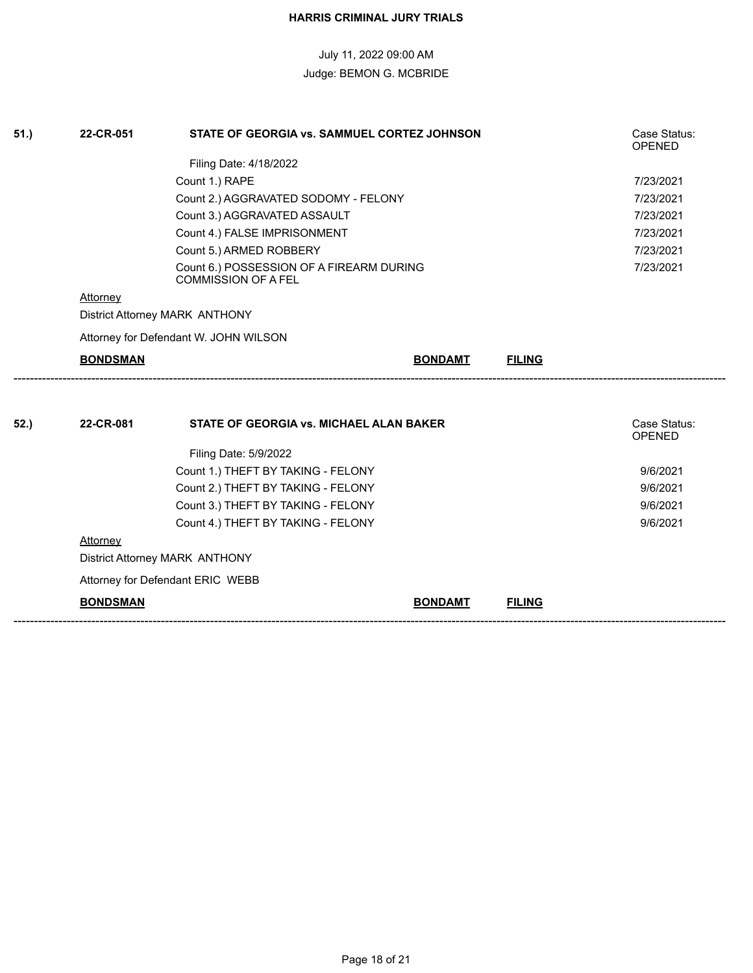| 51.) | 22-CR-051                             | STATE OF GEORGIA vs. SAMMUEL CORTEZ JOHNSON                            |                |               | Case Status:<br><b>OPENED</b> |
|------|---------------------------------------|------------------------------------------------------------------------|----------------|---------------|-------------------------------|
|      |                                       | Filing Date: 4/18/2022                                                 |                |               |                               |
|      |                                       | Count 1.) RAPE                                                         |                |               | 7/23/2021                     |
|      |                                       | Count 2.) AGGRAVATED SODOMY - FELONY                                   |                |               | 7/23/2021                     |
|      |                                       |                                                                        | 7/23/2021      |               |                               |
|      |                                       | Count 4.) FALSE IMPRISONMENT                                           |                |               | 7/23/2021<br>7/23/2021        |
|      |                                       | Count 5.) ARMED ROBBERY                                                |                |               |                               |
|      |                                       | Count 6.) POSSESSION OF A FIREARM DURING<br><b>COMMISSION OF A FEL</b> |                |               | 7/23/2021                     |
|      | Attorney                              |                                                                        |                |               |                               |
|      | District Attorney MARK ANTHONY        |                                                                        |                |               |                               |
|      | Attorney for Defendant W. JOHN WILSON |                                                                        |                |               |                               |
|      | <b>BONDSMAN</b>                       |                                                                        | <b>BONDAMT</b> | <b>FILING</b> |                               |
|      |                                       |                                                                        |                |               |                               |
| 52.) | 22-CR-081                             | <b>STATE OF GEORGIA vs. MICHAEL ALAN BAKER</b>                         |                |               | Case Status:<br><b>OPENED</b> |
|      |                                       | Filing Date: 5/9/2022                                                  |                |               |                               |
|      |                                       | Count 1.) THEFT BY TAKING - FELONY                                     |                |               | 9/6/2021                      |
|      |                                       | Count 2.) THEFT BY TAKING - FELONY                                     |                |               | 9/6/2021                      |
|      |                                       | Count 3.) THEFT BY TAKING - FELONY                                     |                |               | 9/6/2021                      |
|      |                                       | Count 4.) THEFT BY TAKING - FELONY                                     |                |               | 9/6/2021                      |
|      | Attorney                              |                                                                        |                |               |                               |
|      | District Attorney MARK ANTHONY        |                                                                        |                |               |                               |
|      |                                       | Attorney for Defendant ERIC WEBB                                       |                |               |                               |
|      | <b>BONDSMAN</b>                       |                                                                        | <b>BONDAMT</b> | <b>FILING</b> |                               |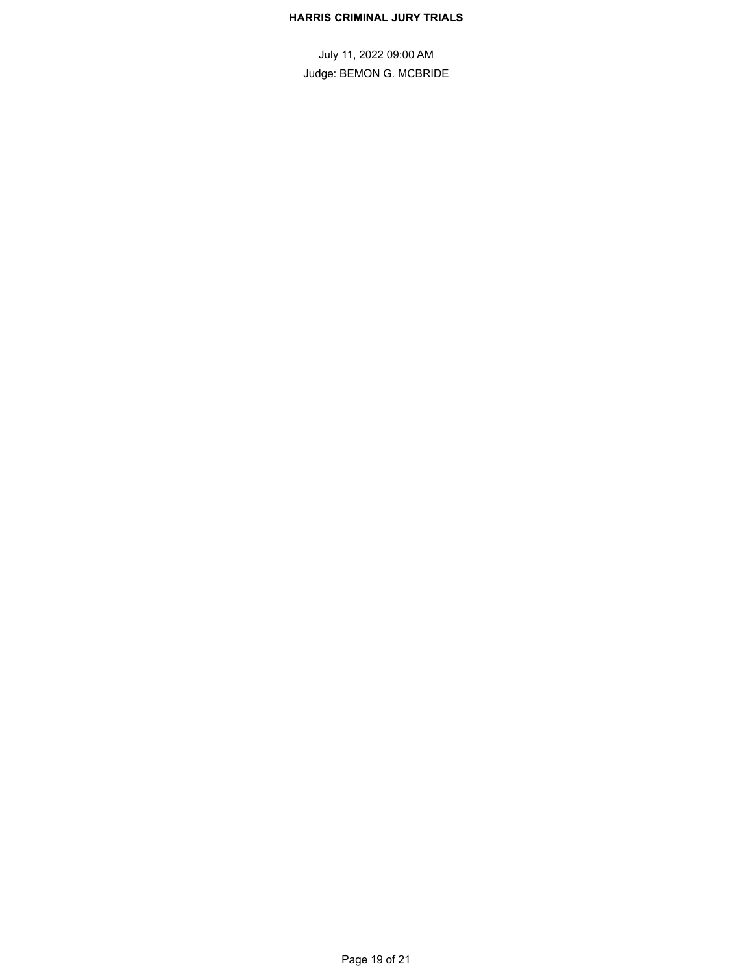#### **HARRIS CRIMINAL JURY TRIALS**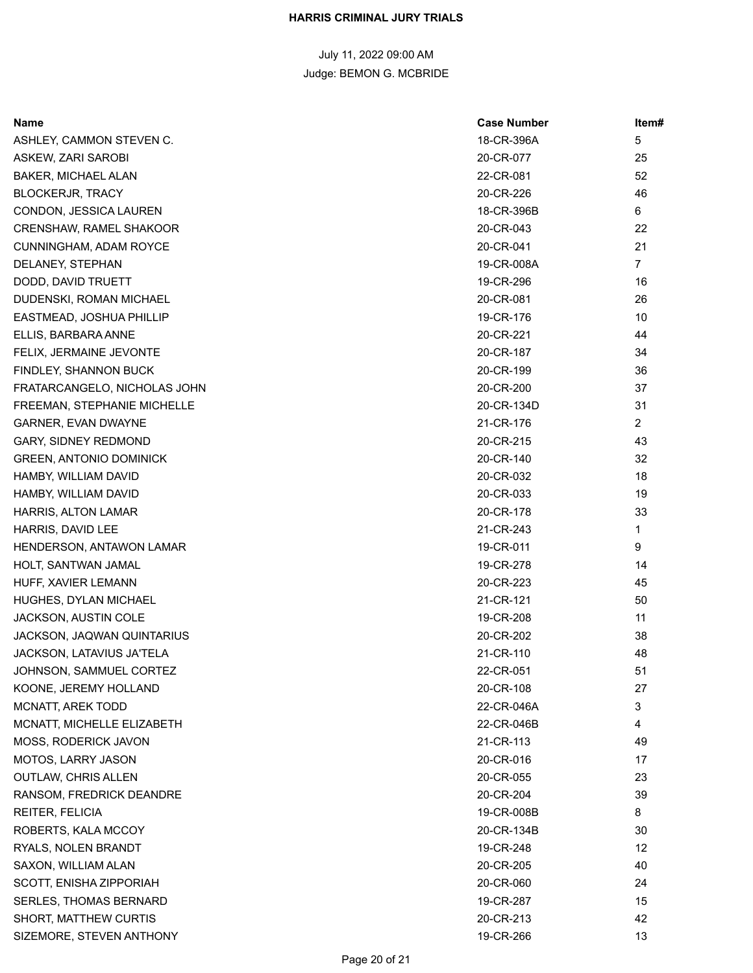| Name                           | <b>Case Number</b> | ltem#          |
|--------------------------------|--------------------|----------------|
| ASHLEY, CAMMON STEVEN C.       | 18-CR-396A         | 5              |
| ASKEW, ZARI SAROBI             | 20-CR-077          | 25             |
| BAKER, MICHAEL ALAN            | 22-CR-081          | 52             |
| <b>BLOCKERJR, TRACY</b>        | 20-CR-226          | 46             |
| CONDON, JESSICA LAUREN         | 18-CR-396B         | 6              |
| CRENSHAW, RAMEL SHAKOOR        | 20-CR-043          | 22             |
| CUNNINGHAM, ADAM ROYCE         | 20-CR-041          | 21             |
| DELANEY, STEPHAN               | 19-CR-008A         | $\overline{7}$ |
| DODD, DAVID TRUETT             | 19-CR-296          | 16             |
| DUDENSKI, ROMAN MICHAEL        | 20-CR-081          | 26             |
| EASTMEAD, JOSHUA PHILLIP       | 19-CR-176          | 10             |
| ELLIS, BARBARA ANNE            | 20-CR-221          | 44             |
| FELIX, JERMAINE JEVONTE        | 20-CR-187          | 34             |
| FINDLEY, SHANNON BUCK          | 20-CR-199          | 36             |
| FRATARCANGELO, NICHOLAS JOHN   | 20-CR-200          | 37             |
| FREEMAN, STEPHANIE MICHELLE    | 20-CR-134D         | 31             |
| <b>GARNER, EVAN DWAYNE</b>     | 21-CR-176          | $\overline{2}$ |
| <b>GARY, SIDNEY REDMOND</b>    | 20-CR-215          | 43             |
| <b>GREEN, ANTONIO DOMINICK</b> | 20-CR-140          | 32             |
| HAMBY, WILLIAM DAVID           | 20-CR-032          | 18             |
| HAMBY, WILLIAM DAVID           | 20-CR-033          | 19             |
| HARRIS, ALTON LAMAR            | 20-CR-178          | 33             |
| HARRIS, DAVID LEE              | 21-CR-243          | 1              |
| HENDERSON, ANTAWON LAMAR       | 19-CR-011          | 9              |
| HOLT, SANTWAN JAMAL            | 19-CR-278          | 14             |
| HUFF, XAVIER LEMANN            | 20-CR-223          | 45             |
| HUGHES, DYLAN MICHAEL          | 21-CR-121          | 50             |
| JACKSON, AUSTIN COLE           | 19-CR-208          | 11             |
| JACKSON, JAQWAN QUINTARIUS     | 20-CR-202          | 38             |
| JACKSON, LATAVIUS JA'TELA      | 21-CR-110          | 48             |
| JOHNSON, SAMMUEL CORTEZ        | 22-CR-051          | 51             |
| KOONE, JEREMY HOLLAND          | 20-CR-108          | 27             |
| MCNATT, AREK TODD              | 22-CR-046A         | 3              |
| MCNATT, MICHELLE ELIZABETH     | 22-CR-046B         | 4              |
| MOSS, RODERICK JAVON           | 21-CR-113          | 49             |
| <b>MOTOS, LARRY JASON</b>      | 20-CR-016          | 17             |
| <b>OUTLAW, CHRIS ALLEN</b>     | 20-CR-055          | 23             |
| RANSOM, FREDRICK DEANDRE       | 20-CR-204          | 39             |
| REITER, FELICIA                | 19-CR-008B         | 8              |
| ROBERTS, KALA MCCOY            | 20-CR-134B         | 30             |
| RYALS, NOLEN BRANDT            | 19-CR-248          | 12             |
| SAXON, WILLIAM ALAN            | 20-CR-205          | 40             |
| SCOTT, ENISHA ZIPPORIAH        | 20-CR-060          | 24             |
| <b>SERLES, THOMAS BERNARD</b>  | 19-CR-287          | 15             |
| <b>SHORT, MATTHEW CURTIS</b>   | 20-CR-213          | 42             |
| SIZEMORE, STEVEN ANTHONY       | 19-CR-266          | 13             |